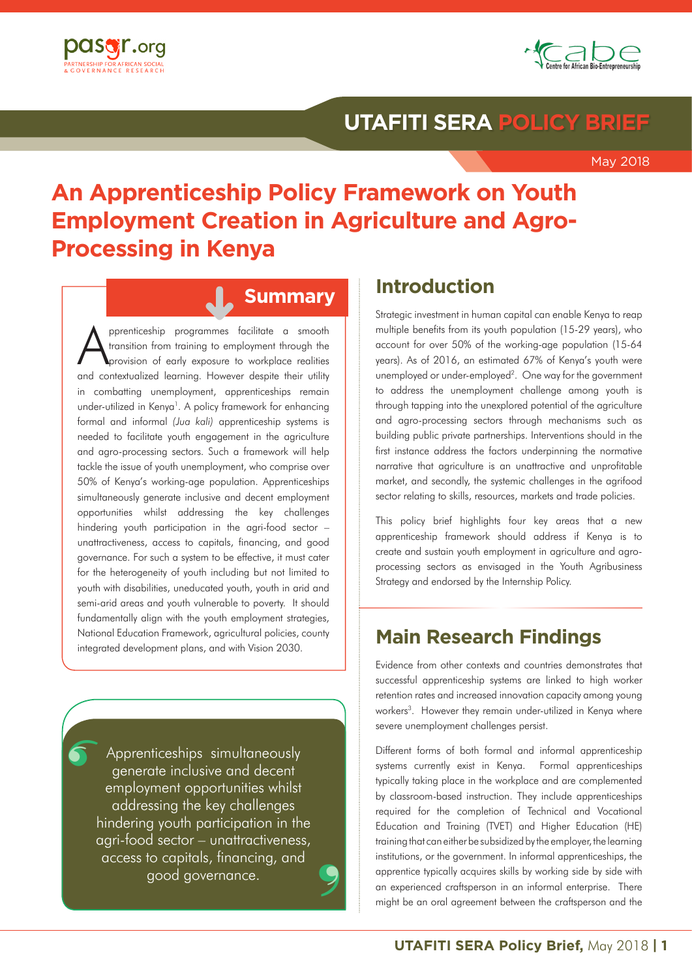**May 2018**



### **UTAFITI SERA POLICY BRIEF**

May 2018

# **An Apprenticeship Policy Framework on Youth Employment Creation in Agriculture and Agro-Processing in Kenya**

### **Summary**

pprenticeship programmes facilitate a smooth transition from training to employment through the provision of early exposure to workplace realities and contextualized learning. However despite their utility in combatting unemployment, apprenticeships remain under-utilized in Kenya<sup>1</sup>. A policy framework for enhancing formal and informal *(Jua kali)* apprenticeship systems is needed to facilitate youth engagement in the agriculture and agro-processing sectors. Such a framework will help tackle the issue of youth unemployment, who comprise over 50% of Kenya's working-age population. Apprenticeships simultaneously generate inclusive and decent employment opportunities whilst addressing the key challenges hindering youth participation in the agri-food sector – unattractiveness, access to capitals, financing, and good governance. For such a system to be effective, it must cater for the heterogeneity of youth including but not limited to youth with disabilities, uneducated youth, youth in arid and semi-arid areas and youth vulnerable to poverty. It should fundamentally align with the youth employment strategies, National Education Framework, agricultural policies, county integrated development plans, and with Vision 2030.

Apprenticeships simultaneously generate inclusive and decent employment opportunities whilst addressing the key challenges hindering youth participation in the agri-food sector – unattractiveness, access to capitals, financing, and good governance.  $\left| \boldsymbol{\delta} \right|$ 

9 9

### **Introduction**

Strategic investment in human capital can enable Kenya to reap multiple benefits from its youth population (15-29 years), who account for over 50% of the working-age population (15-64 years). As of 2016, an estimated 67% of Kenya's youth were unemployed or under-employed<sup>2</sup>. One way for the government to address the unemployment challenge among youth is through tapping into the unexplored potential of the agriculture and agro-processing sectors through mechanisms such as building public private partnerships. Interventions should in the first instance address the factors underpinning the normative narrative that agriculture is an unattractive and unprofitable market, and secondly, the systemic challenges in the agrifood sector relating to skills, resources, markets and trade policies.

This policy brief highlights four key areas that a new apprenticeship framework should address if Kenya is to create and sustain youth employment in agriculture and agroprocessing sectors as envisaged in the Youth Agribusiness Strategy and endorsed by the Internship Policy.

## **Main Research Findings**

Evidence from other contexts and countries demonstrates that successful apprenticeship systems are linked to high worker retention rates and increased innovation capacity among young workers<sup>3</sup>. However they remain under-utilized in Kenya where severe unemployment challenges persist.

Different forms of both formal and informal apprenticeship systems currently exist in Kenya. Formal apprenticeships typically taking place in the workplace and are complemented by classroom-based instruction. They include apprenticeships required for the completion of Technical and Vocational Education and Training (TVET) and Higher Education (HE) training that can either be subsidized by the employer, the learning institutions, or the government. In informal apprenticeships, the apprentice typically acquires skills by working side by side with an experienced craftsperson in an informal enterprise. There might be an oral agreement between the craftsperson and the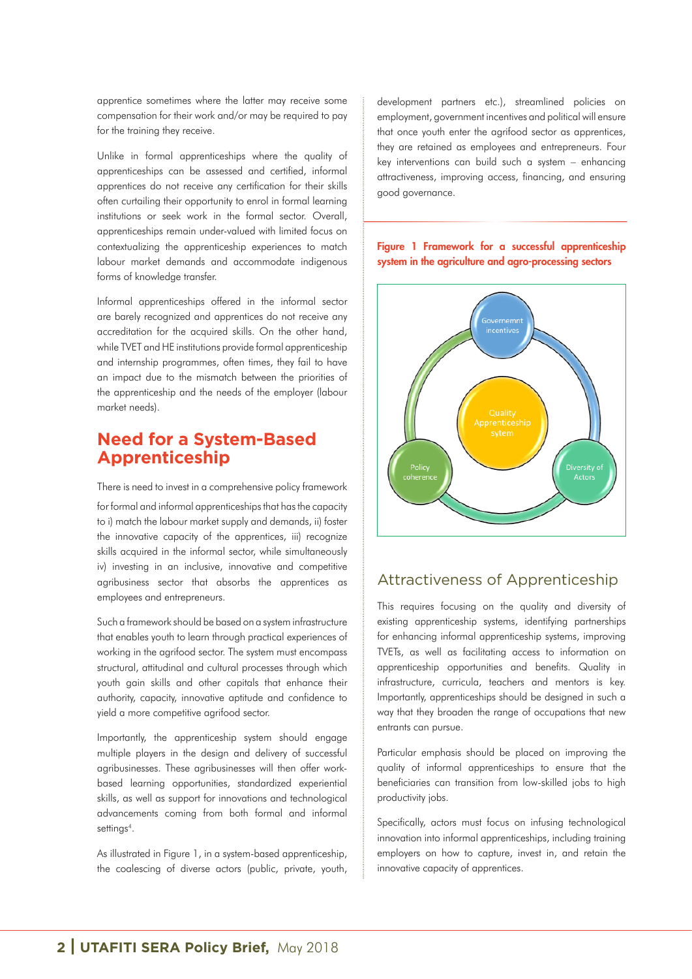apprentice sometimes where the latter may receive some compensation for their work and/or may be required to pay for the training they receive.

Unlike in formal apprenticeships where the quality of apprenticeships can be assessed and certified, informal apprentices do not receive any certification for their skills often curtailing their opportunity to enrol in formal learning institutions or seek work in the formal sector. Overall, apprenticeships remain under-valued with limited focus on contextualizing the apprenticeship experiences to match labour market demands and accommodate indigenous forms of knowledge transfer.

Informal apprenticeships offered in the informal sector are barely recognized and apprentices do not receive any accreditation for the acquired skills. On the other hand, while TVET and HE institutions provide formal apprenticeship and internship programmes, often times, they fail to have an impact due to the mismatch between the priorities of the apprenticeship and the needs of the employer (labour market needs).

### **Need for a System-Based Apprenticeship**

There is need to invest in a comprehensive policy framework

for formal and informal apprenticeships that has the capacity to i) match the labour market supply and demands, ii) foster the innovative capacity of the apprentices, iii) recognize skills acquired in the informal sector, while simultaneously iv) investing in an inclusive, innovative and competitive agribusiness sector that absorbs the apprentices as employees and entrepreneurs.

Such a framework should be based on a system infrastructure that enables youth to learn through practical experiences of working in the agrifood sector. The system must encompass structural, attitudinal and cultural processes through which youth gain skills and other capitals that enhance their authority, capacity, innovative aptitude and confidence to yield a more competitive agrifood sector.

Importantly, the apprenticeship system should engage multiple players in the design and delivery of successful agribusinesses. These agribusinesses will then offer workbased learning opportunities, standardized experiential skills, as well as support for innovations and technological advancements coming from both formal and informal settings<sup>4</sup>.

As illustrated in Figure 1, in a system-based apprenticeship, the coalescing of diverse actors (public, private, youth, development partners etc.), streamlined policies on employment, government incentives and political will ensure that once youth enter the agrifood sector as apprentices, they are retained as employees and entrepreneurs. Four key interventions can build such a system – enhancing attractiveness, improving access, financing, and ensuring good governance.

#### Figure 1 Framework for a successful apprenticeship system in the agriculture and agro-processing sectors



### Attractiveness of Apprenticeship

This requires focusing on the quality and diversity of existing apprenticeship systems, identifying partnerships for enhancing informal apprenticeship systems, improving TVETs, as well as facilitating access to information on apprenticeship opportunities and benefits. Quality in infrastructure, curricula, teachers and mentors is key. Importantly, apprenticeships should be designed in such a way that they broaden the range of occupations that new entrants can pursue.

Particular emphasis should be placed on improving the quality of informal apprenticeships to ensure that the beneficiaries can transition from low-skilled jobs to high productivity jobs.

Specifically, actors must focus on infusing technological innovation into informal apprenticeships, including training employers on how to capture, invest in, and retain the innovative capacity of apprentices.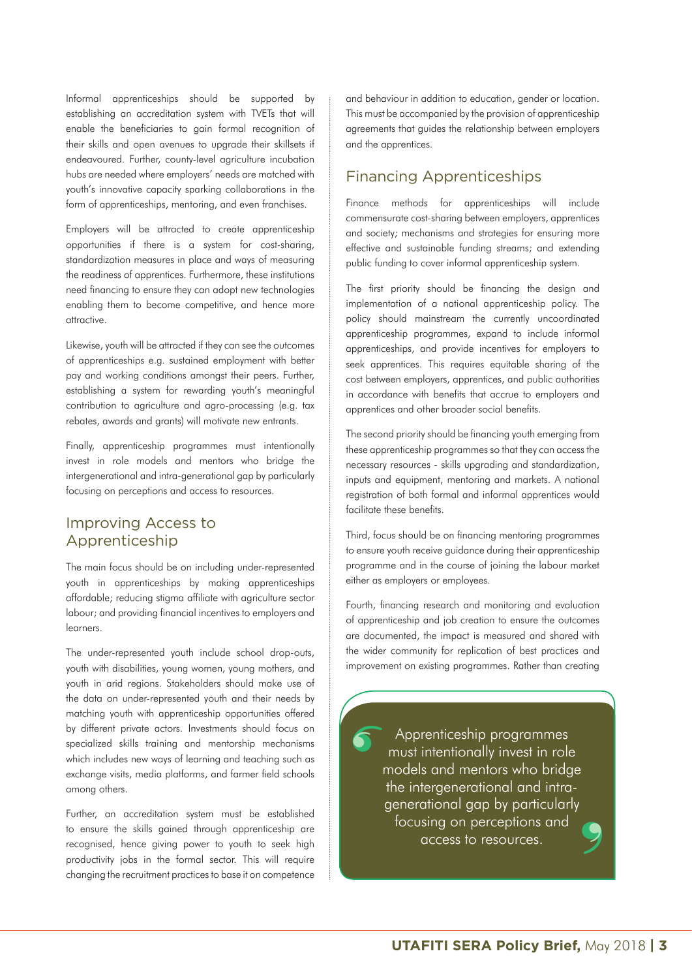Informal apprenticeships should be supported by establishing an accreditation system with TVETs that will enable the beneficiaries to gain formal recognition of their skills and open avenues to upgrade their skillsets if endeavoured. Further, county-level agriculture incubation hubs are needed where employers' needs are matched with youth's innovative capacity sparking collaborations in the form of apprenticeships, mentoring, and even franchises.

Employers will be attracted to create apprenticeship opportunities if there is a system for cost-sharing, standardization measures in place and ways of measuring the readiness of apprentices. Furthermore, these institutions need financing to ensure they can adopt new technologies enabling them to become competitive, and hence more attractive.

Likewise, youth will be attracted if they can see the outcomes of apprenticeships e.g. sustained employment with better pay and working conditions amongst their peers. Further, establishing a system for rewarding youth's meaningful contribution to agriculture and agro-processing (e.g. tax rebates, awards and grants) will motivate new entrants.

Finally, apprenticeship programmes must intentionally invest in role models and mentors who bridge the intergenerational and intra-generational gap by particularly focusing on perceptions and access to resources.

#### Improving Access to Apprenticeship

The main focus should be on including under-represented youth in apprenticeships by making apprenticeships affordable; reducing stigma affiliate with agriculture sector labour; and providing financial incentives to employers and learners.

The under-represented youth include school drop-outs, youth with disabilities, young women, young mothers, and youth in arid regions. Stakeholders should make use of the data on under-represented youth and their needs by matching youth with apprenticeship opportunities offered by different private actors. Investments should focus on specialized skills training and mentorship mechanisms which includes new ways of learning and teaching such as exchange visits, media platforms, and farmer field schools among others.

Further, an accreditation system must be established to ensure the skills gained through apprenticeship are recognised, hence giving power to youth to seek high productivity jobs in the formal sector. This will require changing the recruitment practices to base it on competence and behaviour in addition to education, gender or location. This must be accompanied by the provision of apprenticeship agreements that guides the relationship between employers and the apprentices.

### Financing Apprenticeships

Finance methods for apprenticeships will include commensurate cost-sharing between employers, apprentices and society; mechanisms and strategies for ensuring more effective and sustainable funding streams; and extending public funding to cover informal apprenticeship system.

The first priority should be financing the design and implementation of a national apprenticeship policy. The policy should mainstream the currently uncoordinated apprenticeship programmes, expand to include informal apprenticeships, and provide incentives for employers to seek apprentices. This requires equitable sharing of the cost between employers, apprentices, and public authorities in accordance with benefits that accrue to employers and apprentices and other broader social benefits.

The second priority should be financing youth emerging from these apprenticeship programmes so that they can access the necessary resources - skills upgrading and standardization, inputs and equipment, mentoring and markets. A national registration of both formal and informal apprentices would facilitate these benefits.

Third, focus should be on financing mentoring programmes to ensure youth receive guidance during their apprenticeship programme and in the course of joining the labour market either as employers or employees.

Fourth, financing research and monitoring and evaluation of apprenticeship and job creation to ensure the outcomes are documented, the impact is measured and shared with the wider community for replication of best practices and improvement on existing programmes. Rather than creating

9 9  $\sqrt{6}$ Apprenticeship programmes must intentionally invest in role models and mentors who bridge the intergenerational and intragenerational gap by particularly focusing on perceptions and access to resources.